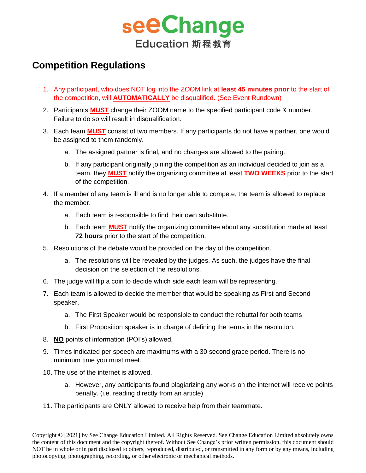

## **Competition Regulations**

- 1. Any participant, who does NOT log into the ZOOM link at **least 45 minutes prior** to the start of the competition, will **AUTOMATICALLY** be disqualified. (See Event Rundown)
- 2. Participants **MUST** change their ZOOM name to the specified participant code & number. Failure to do so will result in disqualification.
- 3. Each team **MUST** consist of two members. If any participants do not have a partner, one would be assigned to them randomly.
	- a. The assigned partner is final, and no changes are allowed to the pairing.
	- b. If any participant originally joining the competition as an individual decided to join as a team, they **MUST** notify the organizing committee at least **TWO WEEKS** prior to the start of the competition.
- 4. If a member of any team is ill and is no longer able to compete, the team is allowed to replace the member.
	- a. Each team is responsible to find their own substitute.
	- b. Each team **MUST** notify the organizing committee about any substitution made at least **72 hours** prior to the start of the competition.
- 5. Resolutions of the debate would be provided on the day of the competition.
	- a. The resolutions will be revealed by the judges. As such, the judges have the final decision on the selection of the resolutions.
- 6. The judge will flip a coin to decide which side each team will be representing.
- 7. Each team is allowed to decide the member that would be speaking as First and Second speaker.
	- a. The First Speaker would be responsible to conduct the rebuttal for both teams
	- b. First Proposition speaker is in charge of defining the terms in the resolution.
- 8. **NO** points of information (POI's) allowed.
- 9. Times indicated per speech are maximums with a 30 second grace period. There is no minimum time you must meet.
- 10. The use of the internet is allowed.
	- a. However, any participants found plagiarizing any works on the internet will receive points penalty. (i.e. reading directly from an article)
- 11. The participants are ONLY allowed to receive help from their teammate.

Copyright © [2021] by See Change Education Limited. All Rights Reserved. See Change Education Limited absolutely owns the content of this document and the copyright thereof. Without See Change's prior written permission, this document should NOT be in whole or in part disclosed to others, reproduced, distributed, or transmitted in any form or by any means, including photocopying, photographing, recording, or other electronic or mechanical methods.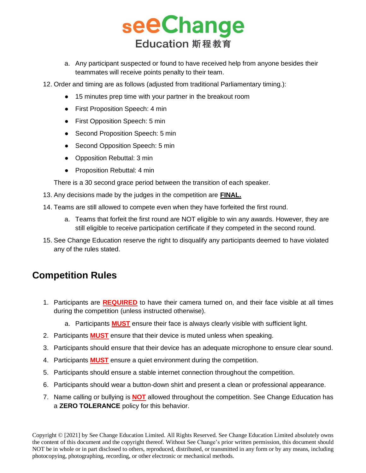

a. Any participant suspected or found to have received help from anyone besides their teammates will receive points penalty to their team.

12. Order and timing are as follows (adjusted from traditional Parliamentary timing.):

- 15 minutes prep time with your partner in the breakout room
- First Proposition Speech: 4 min
- First Opposition Speech: 5 min
- Second Proposition Speech: 5 min
- Second Opposition Speech: 5 min
- Opposition Rebuttal: 3 min
- Proposition Rebuttal: 4 min

There is a 30 second grace period between the transition of each speaker.

- 13. Any decisions made by the judges in the competition are **FINAL.**
- 14. Teams are still allowed to compete even when they have forfeited the first round.
	- a. Teams that forfeit the first round are NOT eligible to win any awards. However, they are still eligible to receive participation certificate if they competed in the second round.
- 15. See Change Education reserve the right to disqualify any participants deemed to have violated any of the rules stated.

## **Competition Rules**

- 1. Participants are **REQUIRED** to have their camera turned on, and their face visible at all times during the competition (unless instructed otherwise).
	- a. Participants **MUST** ensure their face is always clearly visible with sufficient light.
- 2. Participants **MUST** ensure that their device is muted unless when speaking.
- 3. Participants should ensure that their device has an adequate microphone to ensure clear sound.
- 4. Participants **MUST** ensure a quiet environment during the competition.
- 5. Participants should ensure a stable internet connection throughout the competition.
- 6. Participants should wear a button-down shirt and present a clean or professional appearance.
- 7. Name calling or bullying is **NOT** allowed throughout the competition. See Change Education has a **ZERO TOLERANCE** policy for this behavior.

Copyright © [2021] by See Change Education Limited. All Rights Reserved. See Change Education Limited absolutely owns the content of this document and the copyright thereof. Without See Change's prior written permission, this document should NOT be in whole or in part disclosed to others, reproduced, distributed, or transmitted in any form or by any means, including photocopying, photographing, recording, or other electronic or mechanical methods.